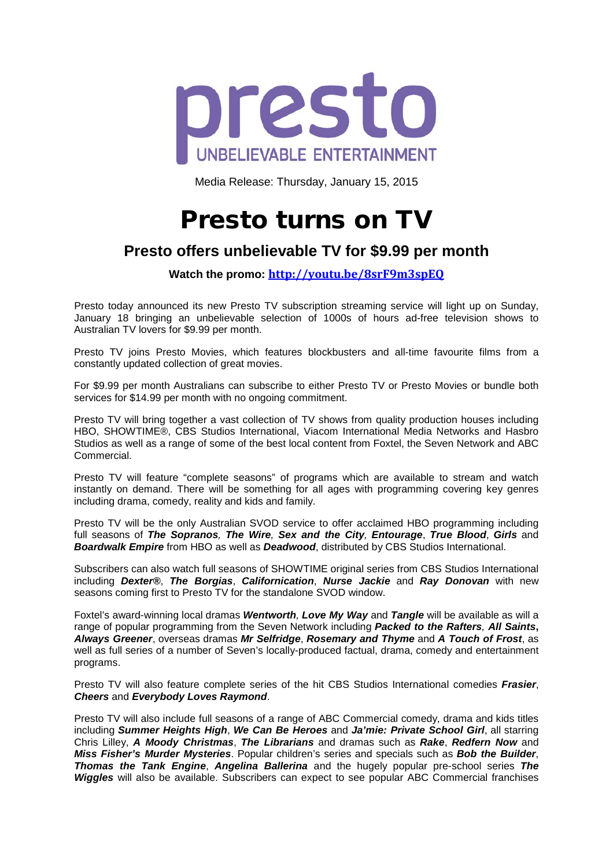

Media Release: Thursday, January 15, 2015

## Presto turns on TV

## **Presto offers unbelievable TV for \$9.99 per month**

**Watch the promo: <http://youtu.be/8srF9m3spEQ>**

Presto today announced its new Presto TV subscription streaming service will light up on Sunday, January 18 bringing an unbelievable selection of 1000s of hours ad-free television shows to Australian TV lovers for \$9.99 per month.

Presto TV joins Presto Movies, which features blockbusters and all-time favourite films from a constantly updated collection of great movies.

For \$9.99 per month Australians can subscribe to either Presto TV or Presto Movies or bundle both services for \$14.99 per month with no ongoing commitment.

Presto TV will bring together a vast collection of TV shows from quality production houses including HBO, SHOWTIME®, CBS Studios International, Viacom International Media Networks and Hasbro Studios as well as a range of some of the best local content from Foxtel, the Seven Network and ABC Commercial.

Presto TV will feature "complete seasons" of programs which are available to stream and watch instantly on demand. There will be something for all ages with programming covering key genres including drama, comedy, reality and kids and family.

Presto TV will be the only Australian SVOD service to offer acclaimed HBO programming including full seasons of *The Sopranos, The Wire, Sex and the City, Entourage*, *True Blood*, *Girls* and *Boardwalk Empire* from HBO as well as *Deadwood*, distributed by CBS Studios International.

Subscribers can also watch full seasons of SHOWTIME original series from CBS Studios International including *Dexter®*, *The Borgias*, *Californication*, *Nurse Jackie* and *Ray Donovan* with new seasons coming first to Presto TV for the standalone SVOD window.

Foxtel's award-winning local dramas *Wentworth, Love My Way* and *Tangle* will be available as will a range of popular programming from the Seven Network including *Packed to the Rafters, All Saints***,**  *Always Greener*, overseas dramas *Mr Selfridge*, *Rosemary and Thyme* and *A Touch of Frost*, as well as full series of a number of Seven's locally-produced factual, drama, comedy and entertainment programs.

Presto TV will also feature complete series of the hit CBS Studios International comedies *Frasier*, *Cheers* and *Everybody Loves Raymond*.

Presto TV will also include full seasons of a range of ABC Commercial comedy, drama and kids titles including *Summer Heights High*, *We Can Be Heroes* and *Ja'mie: Private School Girl*, all starring Chris Lilley, *A Moody Christmas*, *The Librarians* and dramas such as *Rake*, *Redfern Now* and *Miss Fisher's Murder Mysteries*. Popular children's series and specials such as *Bob the Builder*, *Thomas the Tank Engine*, *Angelina Ballerina* and the hugely popular pre-school series *The Wiggles* will also be available. Subscribers can expect to see popular ABC Commercial franchises